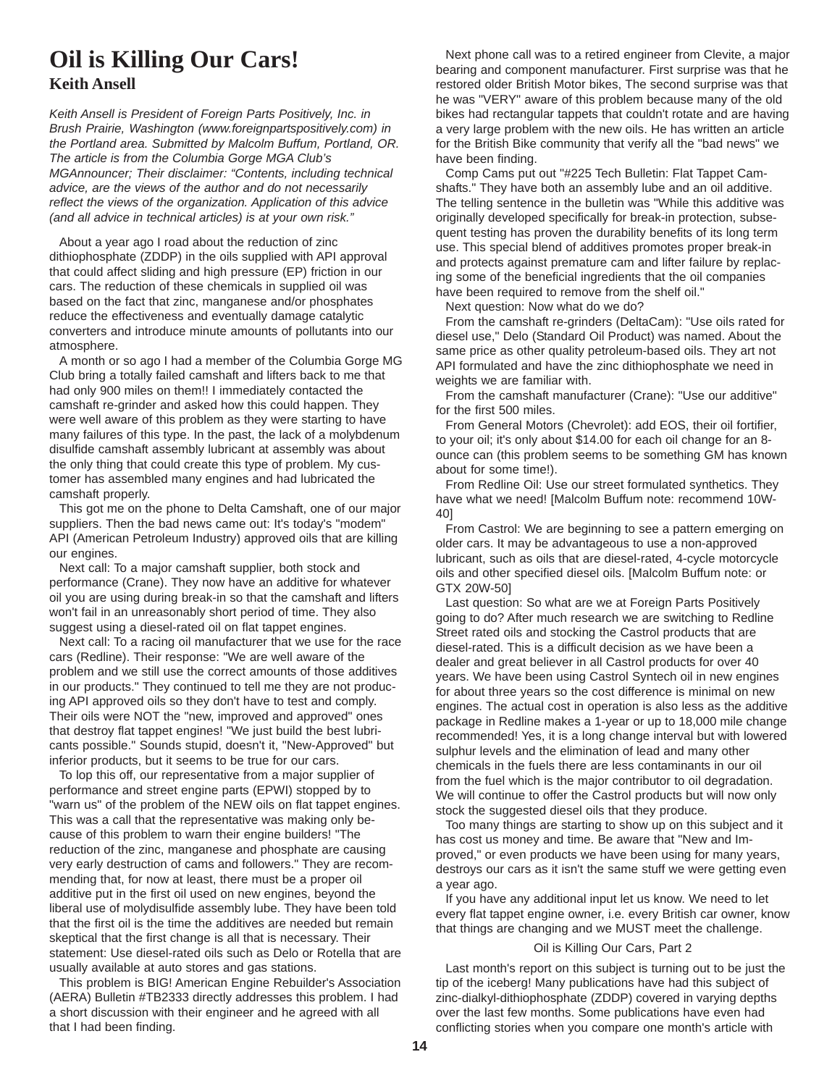# **Oil is Killing Our Cars!**

### **Keith Ansell**

*Keith Ansell is President of Foreign Parts Positively, Inc. in Brush Prairie, Washington (www.foreignpartspositively.com) in the Portland area. Submitted by Malcolm Buffum, Portland, OR. The article is from the Columbia Gorge MGA Club's MGAnnouncer; Their disclaimer: "Contents, including technical advice, are the views of the author and do not necessarily reflect the views of the organization. Application of this advice (and all advice in technical articles) is at your own risk."*

About a year ago I road about the reduction of zinc dithiophosphate (ZDDP) in the oils supplied with API approval that could affect sliding and high pressure (EP) friction in our cars. The reduction of these chemicals in supplied oil was based on the fact that zinc, manganese and/or phosphates reduce the effectiveness and eventually damage catalytic converters and introduce minute amounts of pollutants into our atmosphere.

A month or so ago I had a member of the Columbia Gorge MG Club bring a totally failed camshaft and lifters back to me that had only 900 miles on them!! I immediately contacted the camshaft re-grinder and asked how this could happen. They were well aware of this problem as they were starting to have many failures of this type. In the past, the lack of a molybdenum disulfide camshaft assembly lubricant at assembly was about the only thing that could create this type of problem. My customer has assembled many engines and had lubricated the camshaft properly.

This got me on the phone to Delta Camshaft, one of our major suppliers. Then the bad news came out: It's today's "modem" API (American Petroleum Industry) approved oils that are killing our engines.

Next call: To a major camshaft supplier, both stock and performance (Crane). They now have an additive for whatever oil you are using during break-in so that the camshaft and lifters won't fail in an unreasonably short period of time. They also suggest using a diesel-rated oil on flat tappet engines.

Next call: To a racing oil manufacturer that we use for the race cars (Redline). Their response: "We are well aware of the problem and we still use the correct amounts of those additives in our products." They continued to tell me they are not producing API approved oils so they don't have to test and comply. Their oils were NOT the "new, improved and approved" ones that destroy flat tappet engines! "We just build the best lubricants possible." Sounds stupid, doesn't it, "New-Approved" but inferior products, but it seems to be true for our cars.

To lop this off, our representative from a major supplier of performance and street engine parts (EPWI) stopped by to "warn us" of the problem of the NEW oils on flat tappet engines. This was a call that the representative was making only because of this problem to warn their engine builders! "The reduction of the zinc, manganese and phosphate are causing very early destruction of cams and followers." They are recommending that, for now at least, there must be a proper oil additive put in the first oil used on new engines, beyond the liberal use of molydisulfide assembly lube. They have been told that the first oil is the time the additives are needed but remain skeptical that the first change is all that is necessary. Their statement: Use diesel-rated oils such as Delo or Rotella that are usually available at auto stores and gas stations.

This problem is BIG! American Engine Rebuilder's Association (AERA) Bulletin #TB2333 directly addresses this problem. I had a short discussion with their engineer and he agreed with all that I had been finding.

Next phone call was to a retired engineer from Clevite, a major bearing and component manufacturer. First surprise was that he restored older British Motor bikes, The second surprise was that he was "VERY" aware of this problem because many of the old bikes had rectangular tappets that couldn't rotate and are having a very large problem with the new oils. He has written an article for the British Bike community that verify all the "bad news" we have been finding.

Comp Cams put out "#225 Tech Bulletin: Flat Tappet Camshafts." They have both an assembly lube and an oil additive. The telling sentence in the bulletin was "While this additive was originally developed specifically for break-in protection, subsequent testing has proven the durability benefits of its long term use. This special blend of additives promotes proper break-in and protects against premature cam and lifter failure by replacing some of the beneficial ingredients that the oil companies have been required to remove from the shelf oil."

Next question: Now what do we do?

From the camshaft re-grinders (DeltaCam): "Use oils rated for diesel use," Delo (Standard Oil Product) was named. About the same price as other quality petroleum-based oils. They art not API formulated and have the zinc dithiophosphate we need in weights we are familiar with.

From the camshaft manufacturer (Crane): "Use our additive" for the first 500 miles.

From General Motors (Chevrolet): add EOS, their oil fortifier, to your oil; it's only about \$14.00 for each oil change for an 8 ounce can (this problem seems to be something GM has known about for some time!).

From Redline Oil: Use our street formulated synthetics. They have what we need! [Malcolm Buffum note: recommend 10W-40]

From Castrol: We are beginning to see a pattern emerging on older cars. It may be advantageous to use a non-approved lubricant, such as oils that are diesel-rated, 4-cycle motorcycle oils and other specified diesel oils. [Malcolm Buffum note: or GTX 20W-50]

Last question: So what are we at Foreign Parts Positively going to do? After much research we are switching to Redline Street rated oils and stocking the Castrol products that are diesel-rated. This is a difficult decision as we have been a dealer and great believer in all Castrol products for over 40 years. We have been using Castrol Syntech oil in new engines for about three years so the cost difference is minimal on new engines. The actual cost in operation is also less as the additive package in Redline makes a 1-year or up to 18,000 mile change recommended! Yes, it is a long change interval but with lowered sulphur levels and the elimination of lead and many other chemicals in the fuels there are less contaminants in our oil from the fuel which is the major contributor to oil degradation. We will continue to offer the Castrol products but will now only stock the suggested diesel oils that they produce.

Too many things are starting to show up on this subject and it has cost us money and time. Be aware that "New and Improved," or even products we have been using for many years, destroys our cars as it isn't the same stuff we were getting even a year ago.

If you have any additional input let us know. We need to let every flat tappet engine owner, i.e. every British car owner, know that things are changing and we MUST meet the challenge.

#### Oil is Killing Our Cars, Part 2

Last month's report on this subject is turning out to be just the tip of the iceberg! Many publications have had this subject of zinc-dialkyl-dithiophosphate (ZDDP) covered in varying depths over the last few months. Some publications have even had conflicting stories when you compare one month's article with